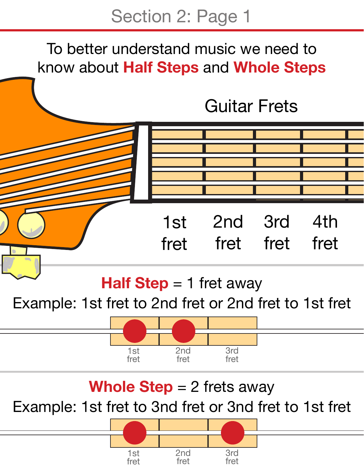#### To better understand music we need to know about **Half Steps** and **Whole Steps**

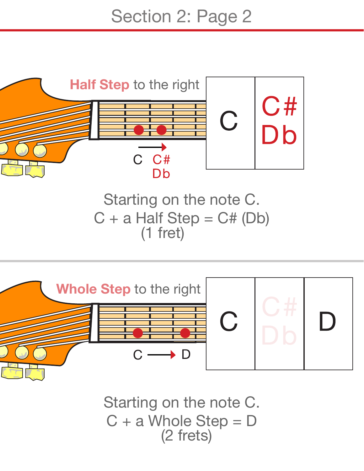

(2 frets) Starting on the note C. C + a Whole Step = D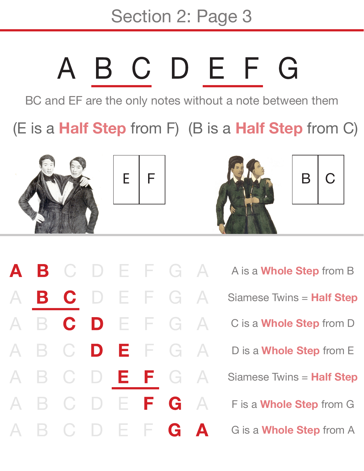Section 2: Page 3

## BCDEFG

BC and EF are the only notes without a note between them

(E is a **Half Step** from F) (B is a **Half Step** from C)



 $\mathbf{C}$ 

 $\mathbf C$ 

 $\mathbf C$ 

 $\overline{C}$ 

C

 $\mathbf C$ 

 $\mathbf C$ 

B

B

 $\mathsf B$ 

 $\Delta$ 

 $\boldsymbol{\mathsf{\Delta}}$ 



Æ

Е

E.

F

E

F

Æ

F.

**D** 

 $\vert \ \vert$ 

D

 $\Box$ 

D

DE





 $F$  G  $\overline{\mathsf{A}}$ A is a **Whole Step** from B EFG  $\Delta$ Siamese Twins = **Half Step** FGA C is a **Whole Step** from D G  $\Delta$ D is a **Whole Step** from E F. G A Siamese Twins = **Half Step** G  $\mathsf{A}$ F is a **Whole Step** from G G A G is a **Whole Step** from A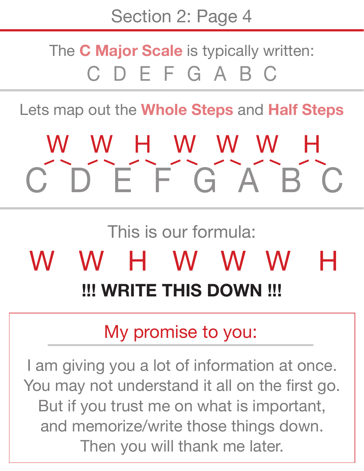#### The **C Major Scale** is typically written: CDEFGABC

Lets map out the **Whole Steps** and **Half Steps**

## W W H W W W H  $\overline{C}$   $\overline{D}$   $\overline{E}$   $\overline{F}$   $\overline{G}$   $\overline{A}$   $\overline{B}$   $\overline{C}$

### This is our formula: WHWWW

Н

#### **!!! WRITE THIS DOWN !!!**

#### My promise to you:

I am giving you a lot of information at once. You may not understand it all on the first go. But if you trust me on what is important, and memorize/write those things down. Then you will thank me later.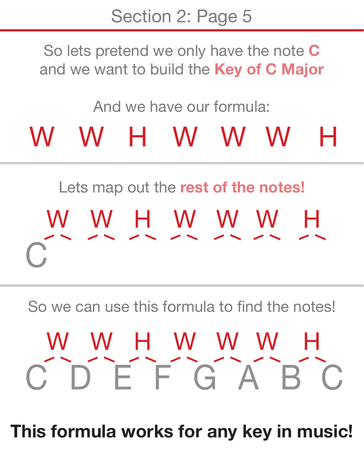So lets pretend we only have the note **C** and we want to build the **Key of C Major**

#### And we have our formula:

#### W W H W W W Н

## Lets map out the **rest of the notes!** H W H W W W H

So we can use this formula to find the notes!

# W W H W W W H<br>C D E F G A B C

**This formula works for any key in music!**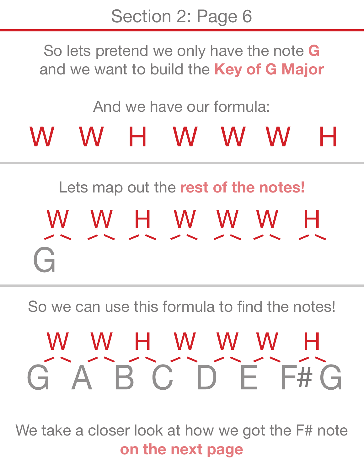So lets pretend we only have the note **G** and we want to build the **Key of G Major**

#### And we have our formula:

#### W W H W W W H

### Lets map out the **rest of the notes!** W W H W W W H  $\overrightarrow{ }$

So we can use this formula to find the notes!

# W W H W W W H<br>G A B C D E F#G

We take a closer look at how we got the F# note **on the next page**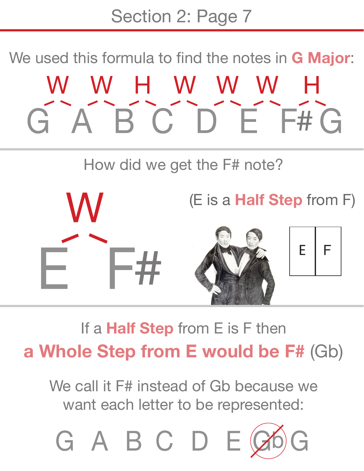Section 2: Page 7

We used this formula to find the notes in **G Major**: W W H W W W ABCDEF#G

How did we get the F# note?



If a **Half Step** from E is F then **a Whole Step from E would be F#** (Gb)

We call it F# instead of Gb because we want each letter to be represented: